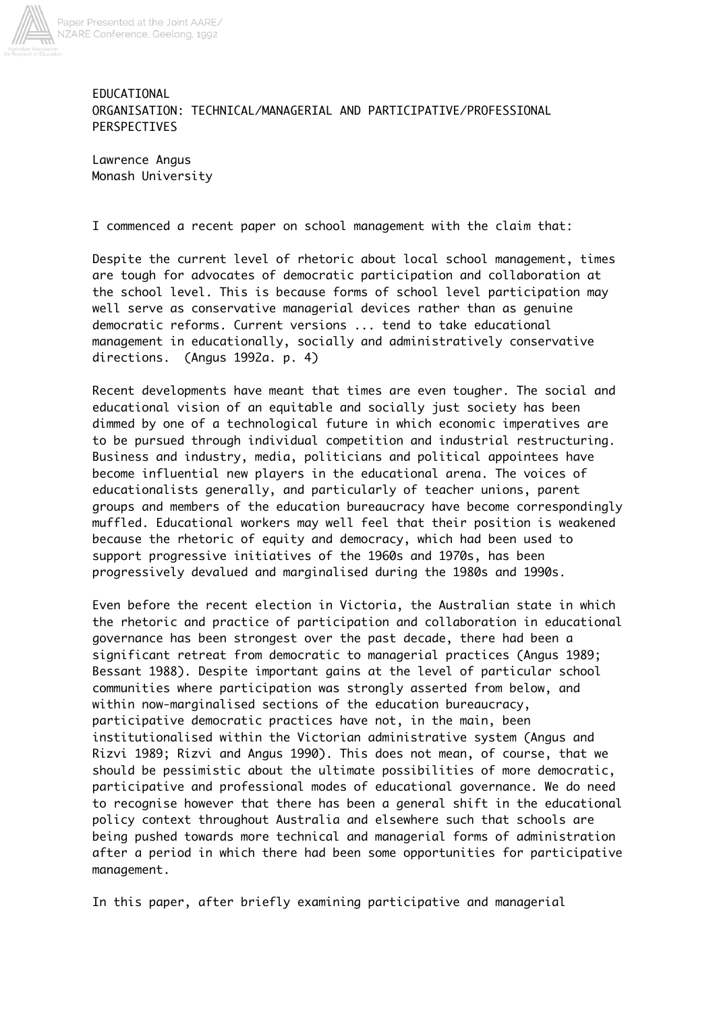

EDUCATIONAL ORGANISATION: TECHNICAL/MANAGERIAL AND PARTICIPATIVE/PROFESSIONAL PERSPECTIVES

Lawrence Angus Monash University

I commenced a recent paper on school management with the claim that:

Despite the current level of rhetoric about local school management, times are tough for advocates of democratic participation and collaboration at the school level. This is because forms of school level participation may well serve as conservative managerial devices rather than as genuine democratic reforms. Current versions ... tend to take educational management in educationally, socially and administratively conservative directions. (Angus 1992a. p. 4)

Recent developments have meant that times are even tougher. The social and educational vision of an equitable and socially just society has been dimmed by one of a technological future in which economic imperatives are to be pursued through individual competition and industrial restructuring. Business and industry, media, politicians and political appointees have become influential new players in the educational arena. The voices of educationalists generally, and particularly of teacher unions, parent groups and members of the education bureaucracy have become correspondingly muffled. Educational workers may well feel that their position is weakened because the rhetoric of equity and democracy, which had been used to support progressive initiatives of the 1960s and 1970s, has been progressively devalued and marginalised during the 1980s and 1990s.

Even before the recent election in Victoria, the Australian state in which the rhetoric and practice of participation and collaboration in educational governance has been strongest over the past decade, there had been a significant retreat from democratic to managerial practices (Angus 1989; Bessant 1988). Despite important gains at the level of particular school communities where participation was strongly asserted from below, and within now-marginalised sections of the education bureaucracy, participative democratic practices have not, in the main, been institutionalised within the Victorian administrative system (Angus and Rizvi 1989; Rizvi and Angus 1990). This does not mean, of course, that we should be pessimistic about the ultimate possibilities of more democratic, participative and professional modes of educational governance. We do need to recognise however that there has been a general shift in the educational policy context throughout Australia and elsewhere such that schools are being pushed towards more technical and managerial forms of administration after a period in which there had been some opportunities for participative management.

In this paper, after briefly examining participative and managerial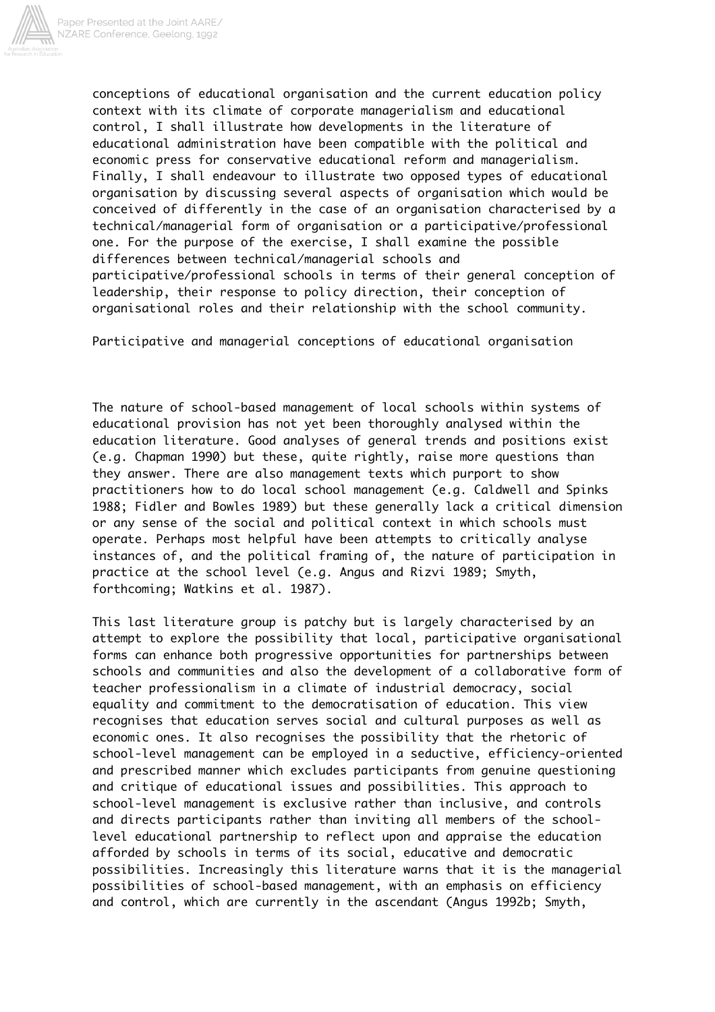

conceptions of educational organisation and the current education policy context with its climate of corporate managerialism and educational control, I shall illustrate how developments in the literature of educational administration have been compatible with the political and economic press for conservative educational reform and managerialism. Finally, I shall endeavour to illustrate two opposed types of educational organisation by discussing several aspects of organisation which would be conceived of differently in the case of an organisation characterised by a technical/managerial form of organisation or a participative/professional one. For the purpose of the exercise, I shall examine the possible differences between technical/managerial schools and participative/professional schools in terms of their general conception of leadership, their response to policy direction, their conception of organisational roles and their relationship with the school community.

Participative and managerial conceptions of educational organisation

The nature of school-based management of local schools within systems of educational provision has not yet been thoroughly analysed within the education literature. Good analyses of general trends and positions exist (e.g. Chapman 1990) but these, quite rightly, raise more questions than they answer. There are also management texts which purport to show practitioners how to do local school management (e.g. Caldwell and Spinks 1988; Fidler and Bowles 1989) but these generally lack a critical dimension or any sense of the social and political context in which schools must operate. Perhaps most helpful have been attempts to critically analyse instances of, and the political framing of, the nature of participation in practice at the school level (e.g. Angus and Rizvi 1989; Smyth, forthcoming; Watkins et al. 1987).

This last literature group is patchy but is largely characterised by an attempt to explore the possibility that local, participative organisational forms can enhance both progressive opportunities for partnerships between schools and communities and also the development of a collaborative form of teacher professionalism in a climate of industrial democracy, social equality and commitment to the democratisation of education. This view recognises that education serves social and cultural purposes as well as economic ones. It also recognises the possibility that the rhetoric of school-level management can be employed in a seductive, efficiency-oriented and prescribed manner which excludes participants from genuine questioning and critique of educational issues and possibilities. This approach to school-level management is exclusive rather than inclusive, and controls and directs participants rather than inviting all members of the schoollevel educational partnership to reflect upon and appraise the education afforded by schools in terms of its social, educative and democratic possibilities. Increasingly this literature warns that it is the managerial possibilities of school-based management, with an emphasis on efficiency and control, which are currently in the ascendant (Angus 1992b; Smyth,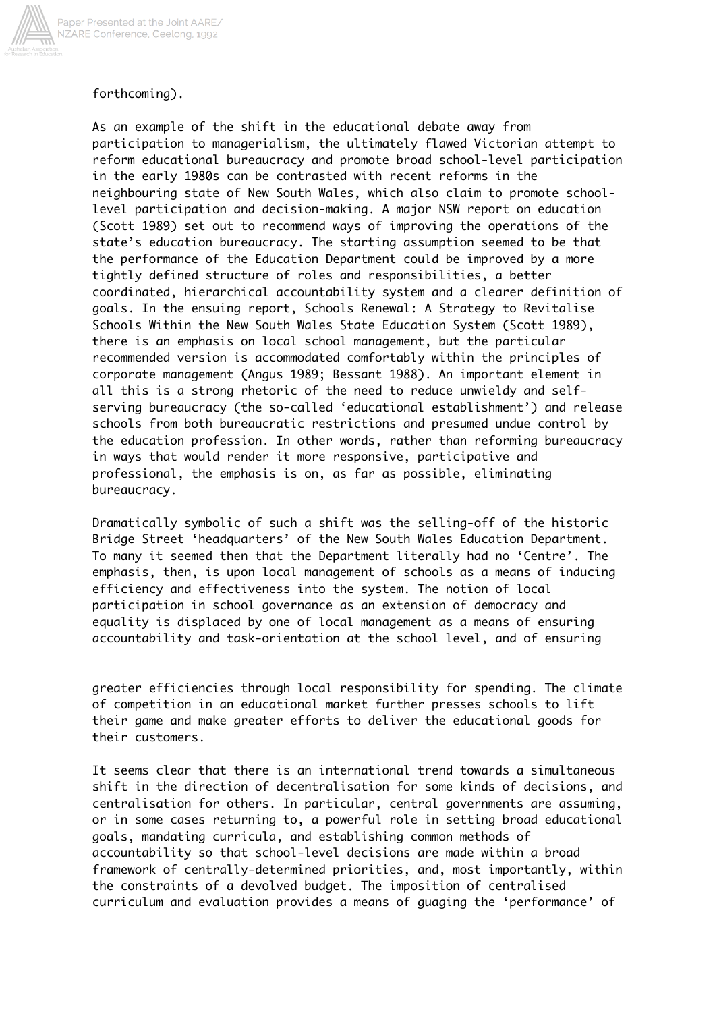

## forthcoming).

As an example of the shift in the educational debate away from participation to managerialism, the ultimately flawed Victorian attempt to reform educational bureaucracy and promote broad school-level participation in the early 1980s can be contrasted with recent reforms in the neighbouring state of New South Wales, which also claim to promote schoollevel participation and decision-making. A major NSW report on education (Scott 1989) set out to recommend ways of improving the operations of the state's education bureaucracy. The starting assumption seemed to be that the performance of the Education Department could be improved by a more tightly defined structure of roles and responsibilities, a better coordinated, hierarchical accountability system and a clearer definition of goals. In the ensuing report, Schools Renewal: A Strategy to Revitalise Schools Within the New South Wales State Education System (Scott 1989), there is an emphasis on local school management, but the particular recommended version is accommodated comfortably within the principles of corporate management (Angus 1989; Bessant 1988). An important element in all this is a strong rhetoric of the need to reduce unwieldy and selfserving bureaucracy (the so-called 'educational establishment') and release schools from both bureaucratic restrictions and presumed undue control by the education profession. In other words, rather than reforming bureaucracy in ways that would render it more responsive, participative and professional, the emphasis is on, as far as possible, eliminating bureaucracy.

Dramatically symbolic of such a shift was the selling-off of the historic Bridge Street 'headquarters' of the New South Wales Education Department. To many it seemed then that the Department literally had no 'Centre'. The emphasis, then, is upon local management of schools as a means of inducing efficiency and effectiveness into the system. The notion of local participation in school governance as an extension of democracy and equality is displaced by one of local management as a means of ensuring accountability and task-orientation at the school level, and of ensuring

greater efficiencies through local responsibility for spending. The climate of competition in an educational market further presses schools to lift their game and make greater efforts to deliver the educational goods for their customers.

It seems clear that there is an international trend towards a simultaneous shift in the direction of decentralisation for some kinds of decisions, and centralisation for others. In particular, central governments are assuming, or in some cases returning to, a powerful role in setting broad educational goals, mandating curricula, and establishing common methods of accountability so that school-level decisions are made within a broad framework of centrally-determined priorities, and, most importantly, within the constraints of a devolved budget. The imposition of centralised curriculum and evaluation provides a means of guaging the 'performance' of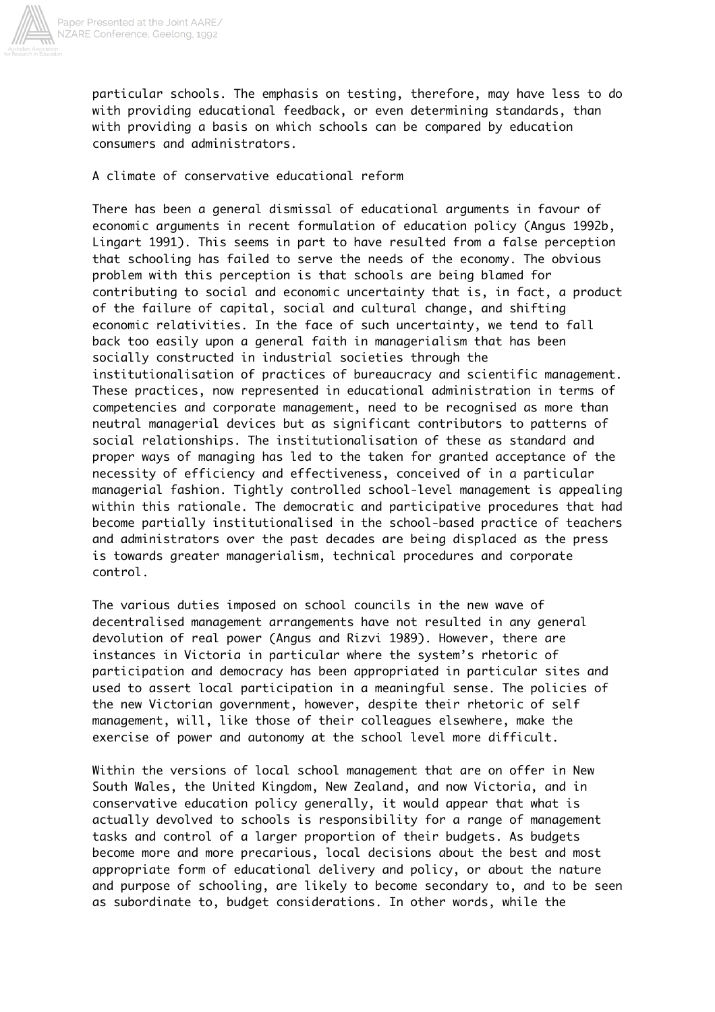

particular schools. The emphasis on testing, therefore, may have less to do with providing educational feedback, or even determining standards, than with providing a basis on which schools can be compared by education consumers and administrators.

## A climate of conservative educational reform

There has been a general dismissal of educational arguments in favour of economic arguments in recent formulation of education policy (Angus 1992b, Lingart 1991). This seems in part to have resulted from a false perception that schooling has failed to serve the needs of the economy. The obvious problem with this perception is that schools are being blamed for contributing to social and economic uncertainty that is, in fact, a product of the failure of capital, social and cultural change, and shifting economic relativities. In the face of such uncertainty, we tend to fall back too easily upon a general faith in managerialism that has been socially constructed in industrial societies through the institutionalisation of practices of bureaucracy and scientific management. These practices, now represented in educational administration in terms of competencies and corporate management, need to be recognised as more than neutral managerial devices but as significant contributors to patterns of social relationships. The institutionalisation of these as standard and proper ways of managing has led to the taken for granted acceptance of the necessity of efficiency and effectiveness, conceived of in a particular managerial fashion. Tightly controlled school-level management is appealing within this rationale. The democratic and participative procedures that had become partially institutionalised in the school-based practice of teachers and administrators over the past decades are being displaced as the press is towards greater managerialism, technical procedures and corporate control.

The various duties imposed on school councils in the new wave of decentralised management arrangements have not resulted in any general devolution of real power (Angus and Rizvi 1989). However, there are instances in Victoria in particular where the system's rhetoric of participation and democracy has been appropriated in particular sites and used to assert local participation in a meaningful sense. The policies of the new Victorian government, however, despite their rhetoric of self management, will, like those of their colleagues elsewhere, make the exercise of power and autonomy at the school level more difficult.

Within the versions of local school management that are on offer in New South Wales, the United Kingdom, New Zealand, and now Victoria, and in conservative education policy generally, it would appear that what is actually devolved to schools is responsibility for a range of management tasks and control of a larger proportion of their budgets. As budgets become more and more precarious, local decisions about the best and most appropriate form of educational delivery and policy, or about the nature and purpose of schooling, are likely to become secondary to, and to be seen as subordinate to, budget considerations. In other words, while the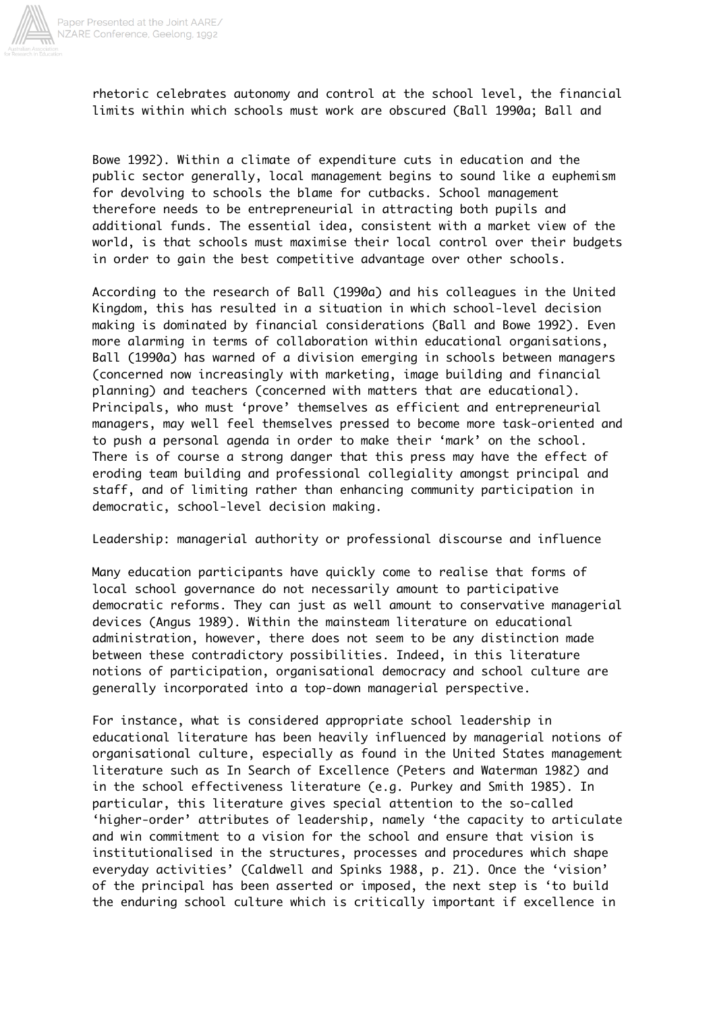

rhetoric celebrates autonomy and control at the school level, the financial limits within which schools must work are obscured (Ball 1990a; Ball and

Bowe 1992). Within a climate of expenditure cuts in education and the public sector generally, local management begins to sound like a euphemism for devolving to schools the blame for cutbacks. School management therefore needs to be entrepreneurial in attracting both pupils and additional funds. The essential idea, consistent with a market view of the world, is that schools must maximise their local control over their budgets in order to gain the best competitive advantage over other schools.

According to the research of Ball (1990a) and his colleagues in the United Kingdom, this has resulted in a situation in which school-level decision making is dominated by financial considerations (Ball and Bowe 1992). Even more alarming in terms of collaboration within educational organisations, Ball (1990a) has warned of a division emerging in schools between managers (concerned now increasingly with marketing, image building and financial planning) and teachers (concerned with matters that are educational). Principals, who must 'prove' themselves as efficient and entrepreneurial managers, may well feel themselves pressed to become more task-oriented and to push a personal agenda in order to make their 'mark' on the school. There is of course a strong danger that this press may have the effect of eroding team building and professional collegiality amongst principal and staff, and of limiting rather than enhancing community participation in democratic, school-level decision making.

Leadership: managerial authority or professional discourse and influence

Many education participants have quickly come to realise that forms of local school governance do not necessarily amount to participative democratic reforms. They can just as well amount to conservative managerial devices (Angus 1989). Within the mainsteam literature on educational administration, however, there does not seem to be any distinction made between these contradictory possibilities. Indeed, in this literature notions of participation, organisational democracy and school culture are generally incorporated into a top-down managerial perspective.

For instance, what is considered appropriate school leadership in educational literature has been heavily influenced by managerial notions of organisational culture, especially as found in the United States management literature such as In Search of Excellence (Peters and Waterman 1982) and in the school effectiveness literature (e.g. Purkey and Smith 1985). In particular, this literature gives special attention to the so-called 'higher-order' attributes of leadership, namely 'the capacity to articulate and win commitment to a vision for the school and ensure that vision is institutionalised in the structures, processes and procedures which shape everyday activities' (Caldwell and Spinks 1988, p. 21). Once the 'vision' of the principal has been asserted or imposed, the next step is 'to build the enduring school culture which is critically important if excellence in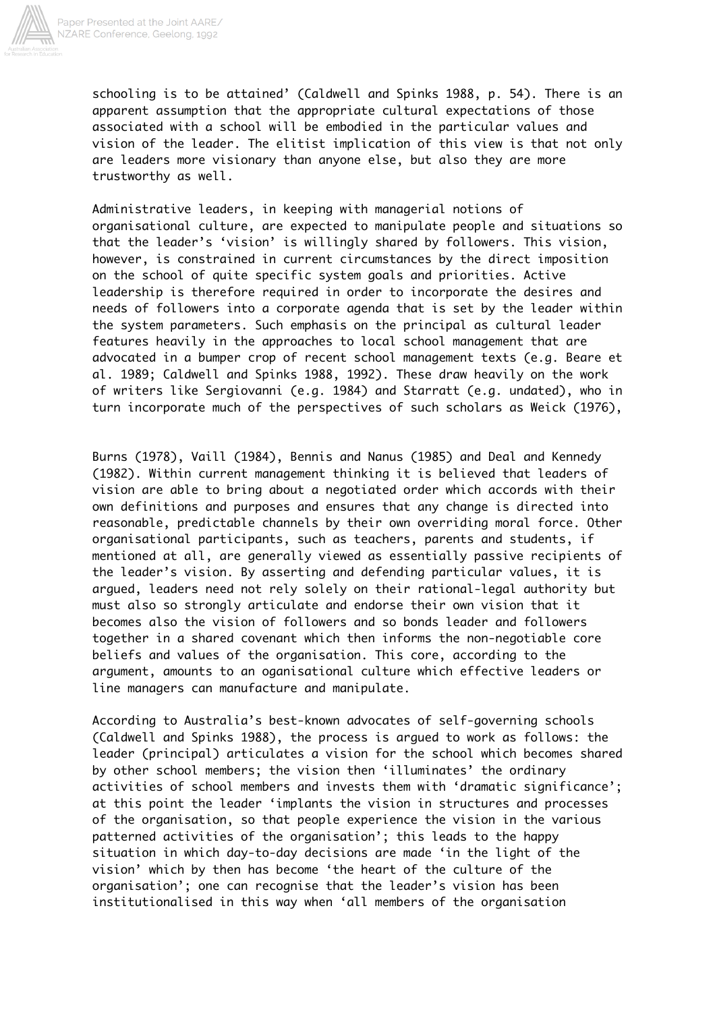

schooling is to be attained' (Caldwell and Spinks 1988, p. 54). There is an apparent assumption that the appropriate cultural expectations of those associated with a school will be embodied in the particular values and vision of the leader. The elitist implication of this view is that not only are leaders more visionary than anyone else, but also they are more trustworthy as well.

Administrative leaders, in keeping with managerial notions of organisational culture, are expected to manipulate people and situations so that the leader's 'vision' is willingly shared by followers. This vision, however, is constrained in current circumstances by the direct imposition on the school of quite specific system goals and priorities. Active leadership is therefore required in order to incorporate the desires and needs of followers into a corporate agenda that is set by the leader within the system parameters. Such emphasis on the principal as cultural leader features heavily in the approaches to local school management that are advocated in a bumper crop of recent school management texts (e.g. Beare et al. 1989; Caldwell and Spinks 1988, 1992). These draw heavily on the work of writers like Sergiovanni (e.g. 1984) and Starratt (e.g. undated), who in turn incorporate much of the perspectives of such scholars as Weick (1976),

Burns (1978), Vaill (1984), Bennis and Nanus (1985) and Deal and Kennedy (1982). Within current management thinking it is believed that leaders of vision are able to bring about a negotiated order which accords with their own definitions and purposes and ensures that any change is directed into reasonable, predictable channels by their own overriding moral force. Other organisational participants, such as teachers, parents and students, if mentioned at all, are generally viewed as essentially passive recipients of the leader's vision. By asserting and defending particular values, it is argued, leaders need not rely solely on their rational-legal authority but must also so strongly articulate and endorse their own vision that it becomes also the vision of followers and so bonds leader and followers together in a shared covenant which then informs the non-negotiable core beliefs and values of the organisation. This core, according to the argument, amounts to an oganisational culture which effective leaders or line managers can manufacture and manipulate.

According to Australia's best-known advocates of self-governing schools (Caldwell and Spinks 1988), the process is argued to work as follows: the leader (principal) articulates a vision for the school which becomes shared by other school members; the vision then 'illuminates' the ordinary activities of school members and invests them with 'dramatic significance'; at this point the leader 'implants the vision in structures and processes of the organisation, so that people experience the vision in the various patterned activities of the organisation'; this leads to the happy situation in which day-to-day decisions are made 'in the light of the vision' which by then has become 'the heart of the culture of the organisation'; one can recognise that the leader's vision has been institutionalised in this way when 'all members of the organisation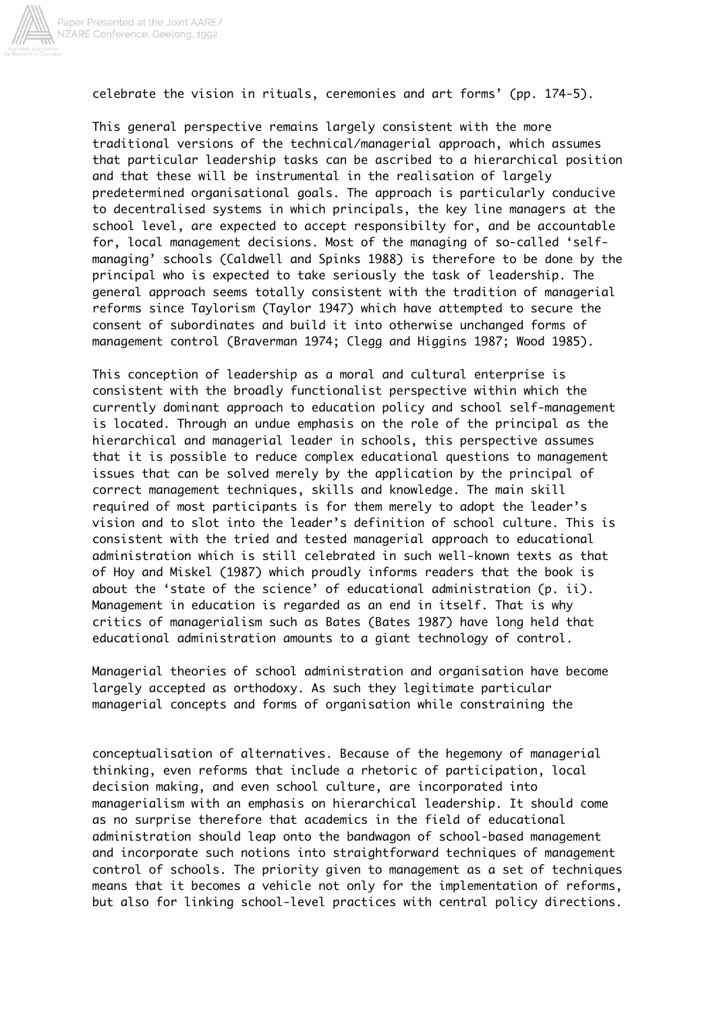

celebrate the vision in rituals, ceremonies and art forms' (pp. 174-5).

This general perspective remains largely consistent with the more traditional versions of the technical/managerial approach, which assumes that particular leadership tasks can be ascribed to a hierarchical position and that these will be instrumental in the realisation of largely predetermined organisational goals. The approach is particularly conducive to decentralised systems in which principals, the key line managers at the school level, are expected to accept responsibilty for, and be accountable for, local management decisions. Most of the managing of so-called 'selfmanaging' schools (Caldwell and Spinks 1988) is therefore to be done by the principal who is expected to take seriously the task of leadership. The general approach seems totally consistent with the tradition of managerial reforms since Taylorism (Taylor 1947) which have attempted to secure the consent of subordinates and build it into otherwise unchanged forms of management control (Braverman 1974; Clegg and Higgins 1987; Wood 1985).

This conception of leadership as a moral and cultural enterprise is consistent with the broadly functionalist perspective within which the currently dominant approach to education policy and school self-management is located. Through an undue emphasis on the role of the principal as the hierarchical and managerial leader in schools, this perspective assumes that it is possible to reduce complex educational questions to management issues that can be solved merely by the application by the principal of correct management techniques, skills and knowledge. The main skill required of most participants is for them merely to adopt the leader's vision and to slot into the leader's definition of school culture. This is consistent with the tried and tested managerial approach to educational administration which is still celebrated in such well-known texts as that of Hoy and Miskel (1987) which proudly informs readers that the book is about the 'state of the science' of educational administration (p. ii). Management in education is regarded as an end in itself. That is why critics of managerialism such as Bates (Bates 1987) have long held that educational administration amounts to a giant technology of control.

Managerial theories of school administration and organisation have become largely accepted as orthodoxy. As such they legitimate particular managerial concepts and forms of organisation while constraining the

conceptualisation of alternatives. Because of the hegemony of managerial thinking, even reforms that include a rhetoric of participation, local decision making, and even school culture, are incorporated into managerialism with an emphasis on hierarchical leadership. It should come as no surprise therefore that academics in the field of educational administration should leap onto the bandwagon of school-based management and incorporate such notions into straightforward techniques of management control of schools. The priority given to management as a set of techniques means that it becomes a vehicle not only for the implementation of reforms, but also for linking school-level practices with central policy directions.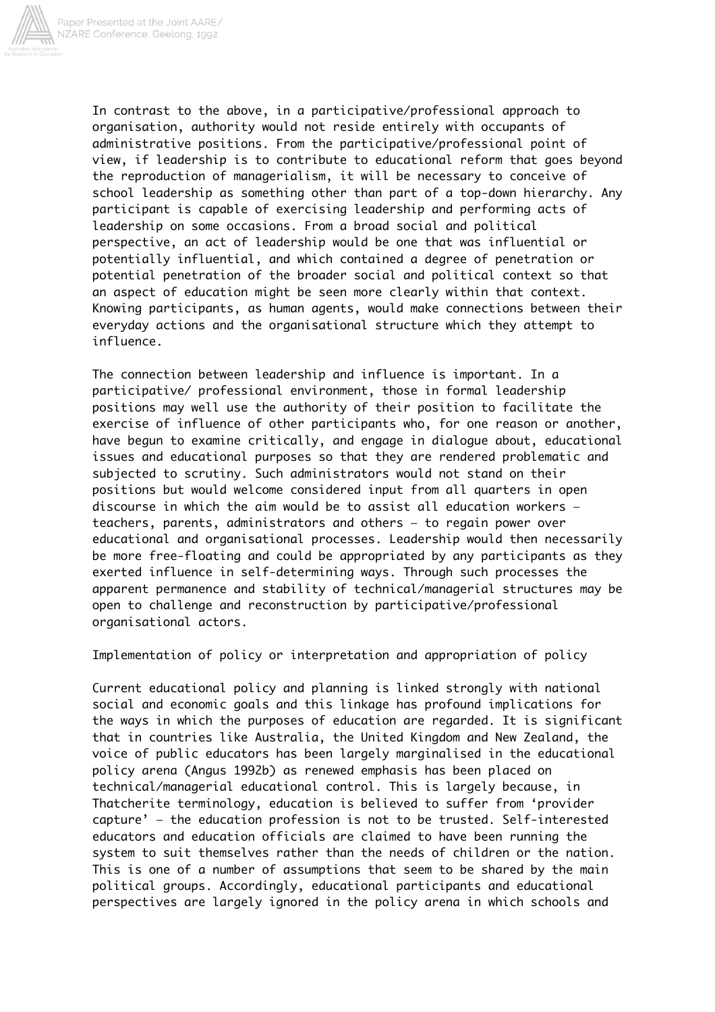

In contrast to the above, in a participative/professional approach to organisation, authority would not reside entirely with occupants of administrative positions. From the participative/professional point of view, if leadership is to contribute to educational reform that goes beyond the reproduction of managerialism, it will be necessary to conceive of school leadership as something other than part of a top-down hierarchy. Any participant is capable of exercising leadership and performing acts of leadership on some occasions. From a broad social and political perspective, an act of leadership would be one that was influential or potentially influential, and which contained a degree of penetration or potential penetration of the broader social and political context so that an aspect of education might be seen more clearly within that context. Knowing participants, as human agents, would make connections between their everyday actions and the organisational structure which they attempt to influence.

The connection between leadership and influence is important. In a participative/ professional environment, those in formal leadership positions may well use the authority of their position to facilitate the exercise of influence of other participants who, for one reason or another, have begun to examine critically, and engage in dialogue about, educational issues and educational purposes so that they are rendered problematic and subjected to scrutiny. Such administrators would not stand on their positions but would welcome considered input from all quarters in open discourse in which the aim would be to assist all education workers teachers, parents, administrators and others — to regain power over educational and organisational processes. Leadership would then necessarily be more free-floating and could be appropriated by any participants as they exerted influence in self-determining ways. Through such processes the apparent permanence and stability of technical/managerial structures may be open to challenge and reconstruction by participative/professional organisational actors.

Implementation of policy or interpretation and appropriation of policy

Current educational policy and planning is linked strongly with national social and economic goals and this linkage has profound implications for the ways in which the purposes of education are regarded. It is significant that in countries like Australia, the United Kingdom and New Zealand, the voice of public educators has been largely marginalised in the educational policy arena (Angus 1992b) as renewed emphasis has been placed on technical/managerial educational control. This is largely because, in Thatcherite terminology, education is believed to suffer from 'provider capture' — the education profession is not to be trusted. Self-interested educators and education officials are claimed to have been running the system to suit themselves rather than the needs of children or the nation. This is one of a number of assumptions that seem to be shared by the main political groups. Accordingly, educational participants and educational perspectives are largely ignored in the policy arena in which schools and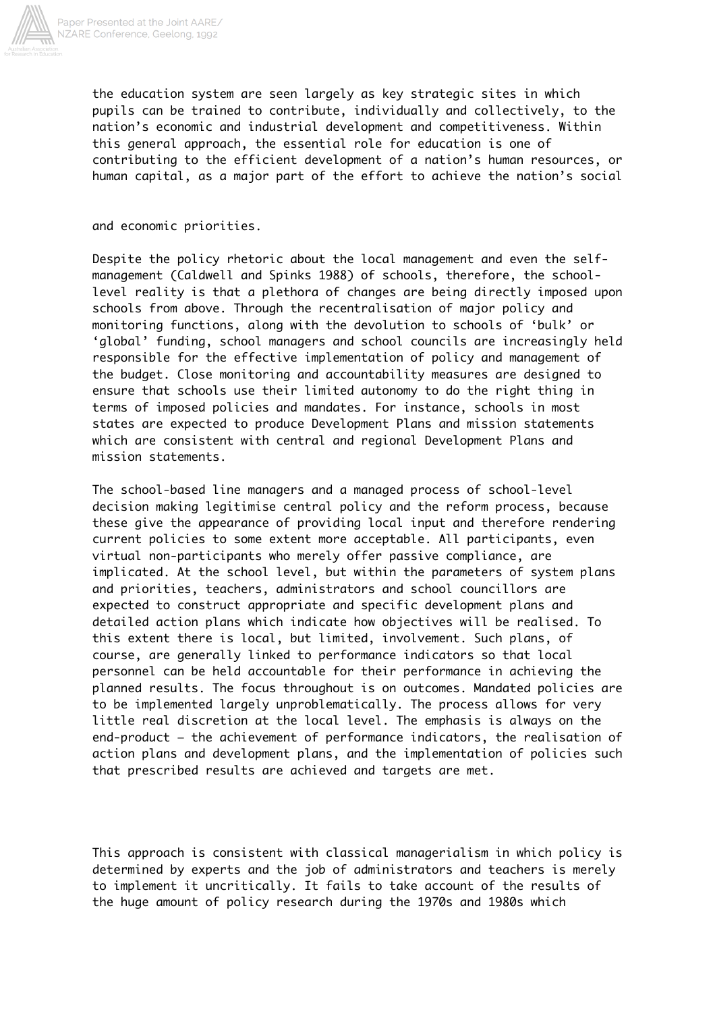

the education system are seen largely as key strategic sites in which pupils can be trained to contribute, individually and collectively, to the nation's economic and industrial development and competitiveness. Within this general approach, the essential role for education is one of contributing to the efficient development of a nation's human resources, or human capital, as a major part of the effort to achieve the nation's social

and economic priorities.

Despite the policy rhetoric about the local management and even the selfmanagement (Caldwell and Spinks 1988) of schools, therefore, the schoollevel reality is that a plethora of changes are being directly imposed upon schools from above. Through the recentralisation of major policy and monitoring functions, along with the devolution to schools of 'bulk' or 'global' funding, school managers and school councils are increasingly held responsible for the effective implementation of policy and management of the budget. Close monitoring and accountability measures are designed to ensure that schools use their limited autonomy to do the right thing in terms of imposed policies and mandates. For instance, schools in most states are expected to produce Development Plans and mission statements which are consistent with central and regional Development Plans and mission statements.

The school-based line managers and a managed process of school-level decision making legitimise central policy and the reform process, because these give the appearance of providing local input and therefore rendering current policies to some extent more acceptable. All participants, even virtual non-participants who merely offer passive compliance, are implicated. At the school level, but within the parameters of system plans and priorities, teachers, administrators and school councillors are expected to construct appropriate and specific development plans and detailed action plans which indicate how objectives will be realised. To this extent there is local, but limited, involvement. Such plans, of course, are generally linked to performance indicators so that local personnel can be held accountable for their performance in achieving the planned results. The focus throughout is on outcomes. Mandated policies are to be implemented largely unproblematically. The process allows for very little real discretion at the local level. The emphasis is always on the end-product — the achievement of performance indicators, the realisation of action plans and development plans, and the implementation of policies such that prescribed results are achieved and targets are met.

This approach is consistent with classical managerialism in which policy is determined by experts and the job of administrators and teachers is merely to implement it uncritically. It fails to take account of the results of the huge amount of policy research during the 1970s and 1980s which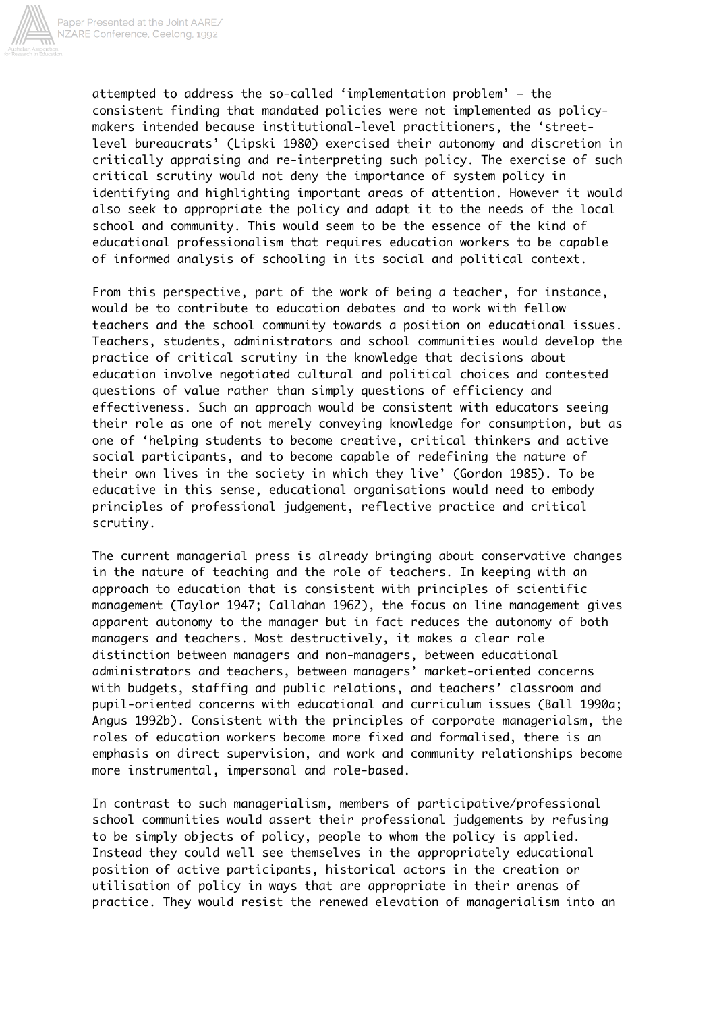

attempted to address the so-called 'implementation problem' — the consistent finding that mandated policies were not implemented as policymakers intended because institutional-level practitioners, the 'streetlevel bureaucrats' (Lipski 1980) exercised their autonomy and discretion in critically appraising and re-interpreting such policy. The exercise of such critical scrutiny would not deny the importance of system policy in identifying and highlighting important areas of attention. However it would also seek to appropriate the policy and adapt it to the needs of the local school and community. This would seem to be the essence of the kind of educational professionalism that requires education workers to be capable of informed analysis of schooling in its social and political context.

From this perspective, part of the work of being a teacher, for instance, would be to contribute to education debates and to work with fellow teachers and the school community towards a position on educational issues. Teachers, students, administrators and school communities would develop the practice of critical scrutiny in the knowledge that decisions about education involve negotiated cultural and political choices and contested questions of value rather than simply questions of efficiency and effectiveness. Such an approach would be consistent with educators seeing their role as one of not merely conveying knowledge for consumption, but as one of 'helping students to become creative, critical thinkers and active social participants, and to become capable of redefining the nature of their own lives in the society in which they live' (Gordon 1985). To be educative in this sense, educational organisations would need to embody principles of professional judgement, reflective practice and critical scrutiny.

The current managerial press is already bringing about conservative changes in the nature of teaching and the role of teachers. In keeping with an approach to education that is consistent with principles of scientific management (Taylor 1947; Callahan 1962), the focus on line management gives apparent autonomy to the manager but in fact reduces the autonomy of both managers and teachers. Most destructively, it makes a clear role distinction between managers and non-managers, between educational administrators and teachers, between managers' market-oriented concerns with budgets, staffing and public relations, and teachers' classroom and pupil-oriented concerns with educational and curriculum issues (Ball 1990a; Angus 1992b). Consistent with the principles of corporate managerialsm, the roles of education workers become more fixed and formalised, there is an emphasis on direct supervision, and work and community relationships become more instrumental, impersonal and role-based.

In contrast to such managerialism, members of participative/professional school communities would assert their professional judgements by refusing to be simply objects of policy, people to whom the policy is applied. Instead they could well see themselves in the appropriately educational position of active participants, historical actors in the creation or utilisation of policy in ways that are appropriate in their arenas of practice. They would resist the renewed elevation of managerialism into an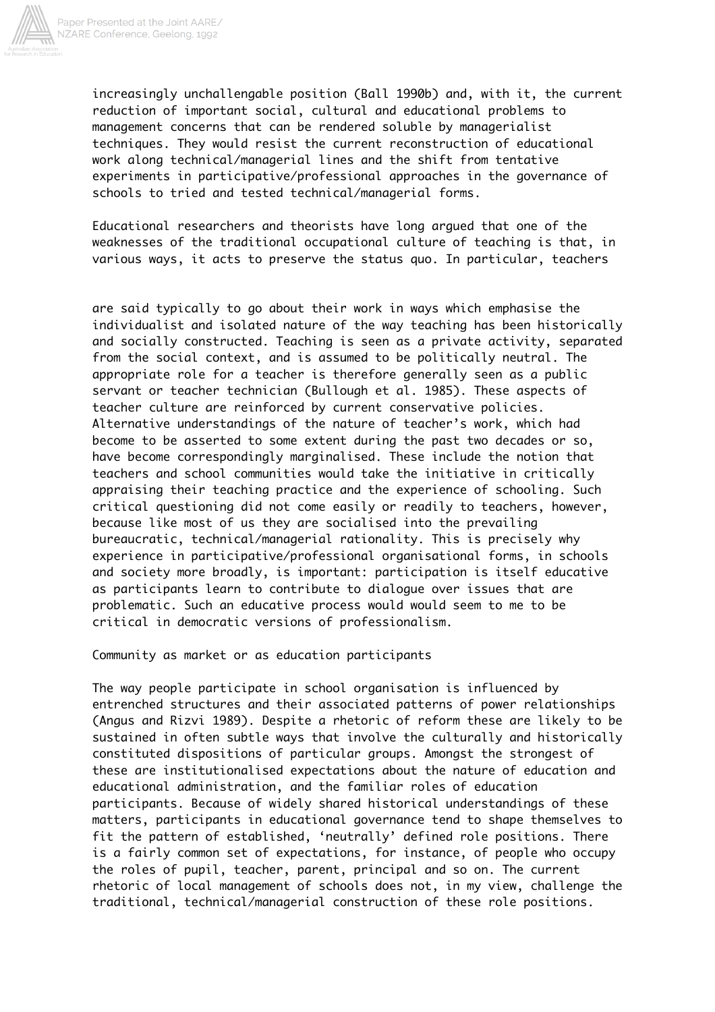

increasingly unchallengable position (Ball 1990b) and, with it, the current reduction of important social, cultural and educational problems to management concerns that can be rendered soluble by managerialist techniques. They would resist the current reconstruction of educational work along technical/managerial lines and the shift from tentative experiments in participative/professional approaches in the governance of schools to tried and tested technical/managerial forms.

Educational researchers and theorists have long argued that one of the weaknesses of the traditional occupational culture of teaching is that, in various ways, it acts to preserve the status quo. In particular, teachers

are said typically to go about their work in ways which emphasise the individualist and isolated nature of the way teaching has been historically and socially constructed. Teaching is seen as a private activity, separated from the social context, and is assumed to be politically neutral. The appropriate role for a teacher is therefore generally seen as a public servant or teacher technician (Bullough et al. 1985). These aspects of teacher culture are reinforced by current conservative policies. Alternative understandings of the nature of teacher's work, which had become to be asserted to some extent during the past two decades or so, have become correspondingly marginalised. These include the notion that teachers and school communities would take the initiative in critically appraising their teaching practice and the experience of schooling. Such critical questioning did not come easily or readily to teachers, however, because like most of us they are socialised into the prevailing bureaucratic, technical/managerial rationality. This is precisely why experience in participative/professional organisational forms, in schools and society more broadly, is important: participation is itself educative as participants learn to contribute to dialogue over issues that are problematic. Such an educative process would would seem to me to be critical in democratic versions of professionalism.

Community as market or as education participants

The way people participate in school organisation is influenced by entrenched structures and their associated patterns of power relationships (Angus and Rizvi 1989). Despite a rhetoric of reform these are likely to be sustained in often subtle ways that involve the culturally and historically constituted dispositions of particular groups. Amongst the strongest of these are institutionalised expectations about the nature of education and educational administration, and the familiar roles of education participants. Because of widely shared historical understandings of these matters, participants in educational governance tend to shape themselves to fit the pattern of established, 'neutrally' defined role positions. There is a fairly common set of expectations, for instance, of people who occupy the roles of pupil, teacher, parent, principal and so on. The current rhetoric of local management of schools does not, in my view, challenge the traditional, technical/managerial construction of these role positions.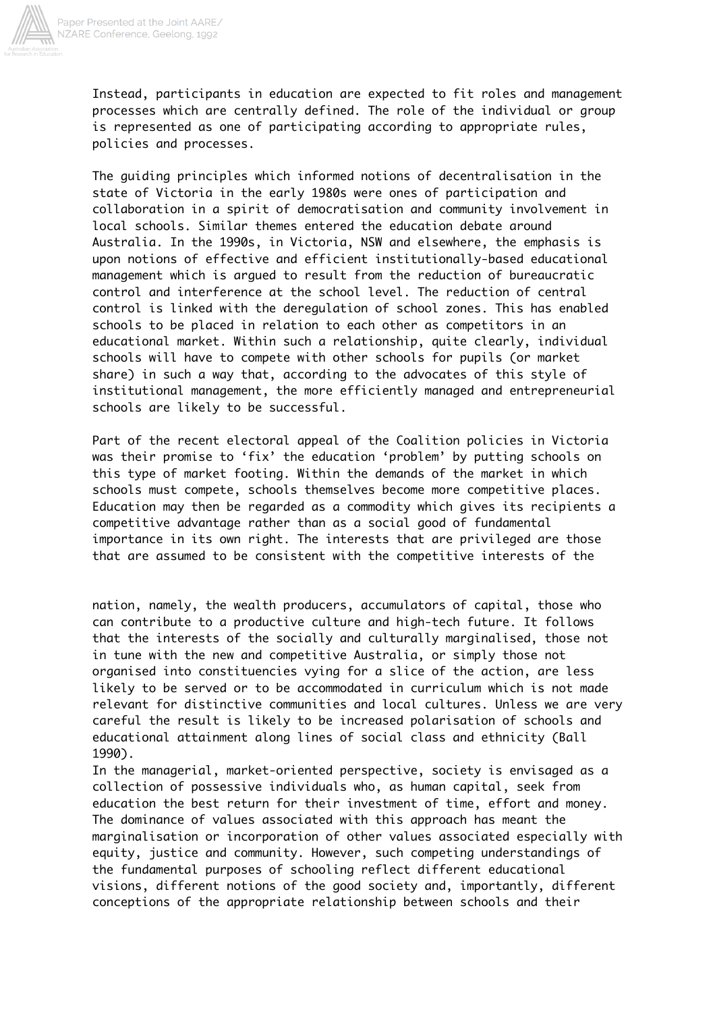

Instead, participants in education are expected to fit roles and management processes which are centrally defined. The role of the individual or group is represented as one of participating according to appropriate rules, policies and processes.

The guiding principles which informed notions of decentralisation in the state of Victoria in the early 1980s were ones of participation and collaboration in a spirit of democratisation and community involvement in local schools. Similar themes entered the education debate around Australia. In the 1990s, in Victoria, NSW and elsewhere, the emphasis is upon notions of effective and efficient institutionally-based educational management which is argued to result from the reduction of bureaucratic control and interference at the school level. The reduction of central control is linked with the deregulation of school zones. This has enabled schools to be placed in relation to each other as competitors in an educational market. Within such a relationship, quite clearly, individual schools will have to compete with other schools for pupils (or market share) in such a way that, according to the advocates of this style of institutional management, the more efficiently managed and entrepreneurial schools are likely to be successful.

Part of the recent electoral appeal of the Coalition policies in Victoria was their promise to 'fix' the education 'problem' by putting schools on this type of market footing. Within the demands of the market in which schools must compete, schools themselves become more competitive places. Education may then be regarded as a commodity which gives its recipients a competitive advantage rather than as a social good of fundamental importance in its own right. The interests that are privileged are those that are assumed to be consistent with the competitive interests of the

nation, namely, the wealth producers, accumulators of capital, those who can contribute to a productive culture and high-tech future. It follows that the interests of the socially and culturally marginalised, those not in tune with the new and competitive Australia, or simply those not organised into constituencies vying for a slice of the action, are less likely to be served or to be accommodated in curriculum which is not made relevant for distinctive communities and local cultures. Unless we are very careful the result is likely to be increased polarisation of schools and educational attainment along lines of social class and ethnicity (Ball 1990).

In the managerial, market-oriented perspective, society is envisaged as a collection of possessive individuals who, as human capital, seek from education the best return for their investment of time, effort and money. The dominance of values associated with this approach has meant the marginalisation or incorporation of other values associated especially with equity, justice and community. However, such competing understandings of the fundamental purposes of schooling reflect different educational visions, different notions of the good society and, importantly, different conceptions of the appropriate relationship between schools and their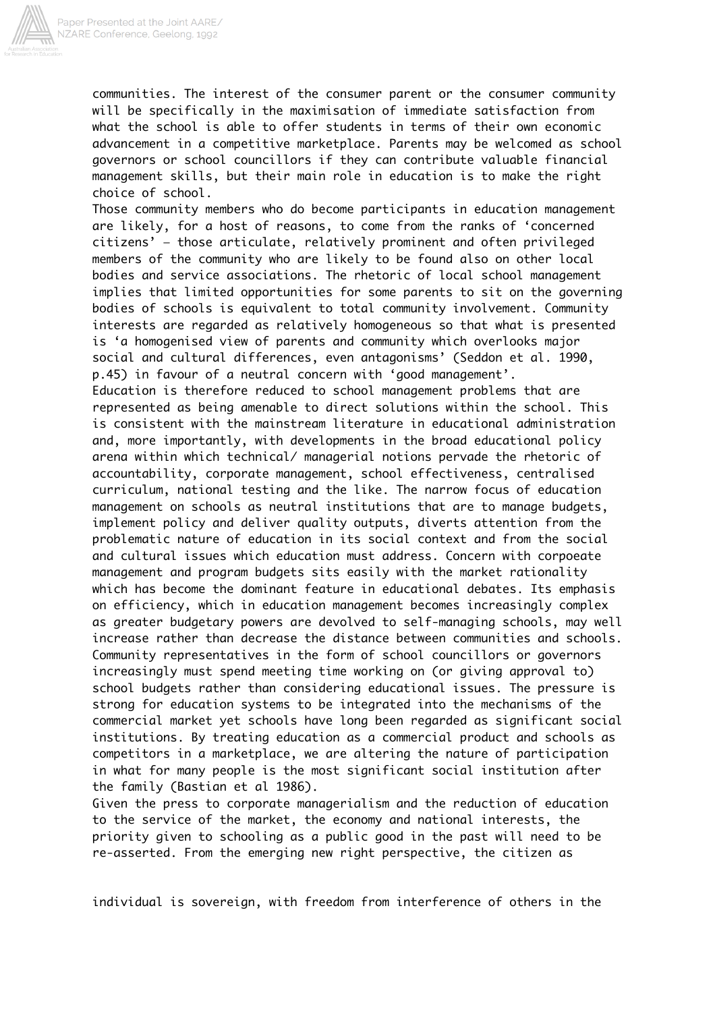

communities. The interest of the consumer parent or the consumer community will be specifically in the maximisation of immediate satisfaction from what the school is able to offer students in terms of their own economic advancement in a competitive marketplace. Parents may be welcomed as school governors or school councillors if they can contribute valuable financial management skills, but their main role in education is to make the right choice of school.

Those community members who do become participants in education management are likely, for a host of reasons, to come from the ranks of 'concerned citizens' — those articulate, relatively prominent and often privileged members of the community who are likely to be found also on other local bodies and service associations. The rhetoric of local school management implies that limited opportunities for some parents to sit on the governing bodies of schools is equivalent to total community involvement. Community interests are regarded as relatively homogeneous so that what is presented is 'a homogenised view of parents and community which overlooks major social and cultural differences, even antagonisms' (Seddon et al. 1990, p.45) in favour of a neutral concern with 'good management'. Education is therefore reduced to school management problems that are represented as being amenable to direct solutions within the school. This is consistent with the mainstream literature in educational administration and, more importantly, with developments in the broad educational policy arena within which technical/ managerial notions pervade the rhetoric of accountability, corporate management, school effectiveness, centralised curriculum, national testing and the like. The narrow focus of education management on schools as neutral institutions that are to manage budgets, implement policy and deliver quality outputs, diverts attention from the problematic nature of education in its social context and from the social and cultural issues which education must address. Concern with corpoeate management and program budgets sits easily with the market rationality which has become the dominant feature in educational debates. Its emphasis on efficiency, which in education management becomes increasingly complex as greater budgetary powers are devolved to self-managing schools, may well increase rather than decrease the distance between communities and schools. Community representatives in the form of school councillors or governors increasingly must spend meeting time working on (or giving approval to) school budgets rather than considering educational issues. The pressure is strong for education systems to be integrated into the mechanisms of the commercial market yet schools have long been regarded as significant social institutions. By treating education as a commercial product and schools as competitors in a marketplace, we are altering the nature of participation in what for many people is the most significant social institution after the family (Bastian et al 1986).

Given the press to corporate managerialism and the reduction of education to the service of the market, the economy and national interests, the priority given to schooling as a public good in the past will need to be re-asserted. From the emerging new right perspective, the citizen as

individual is sovereign, with freedom from interference of others in the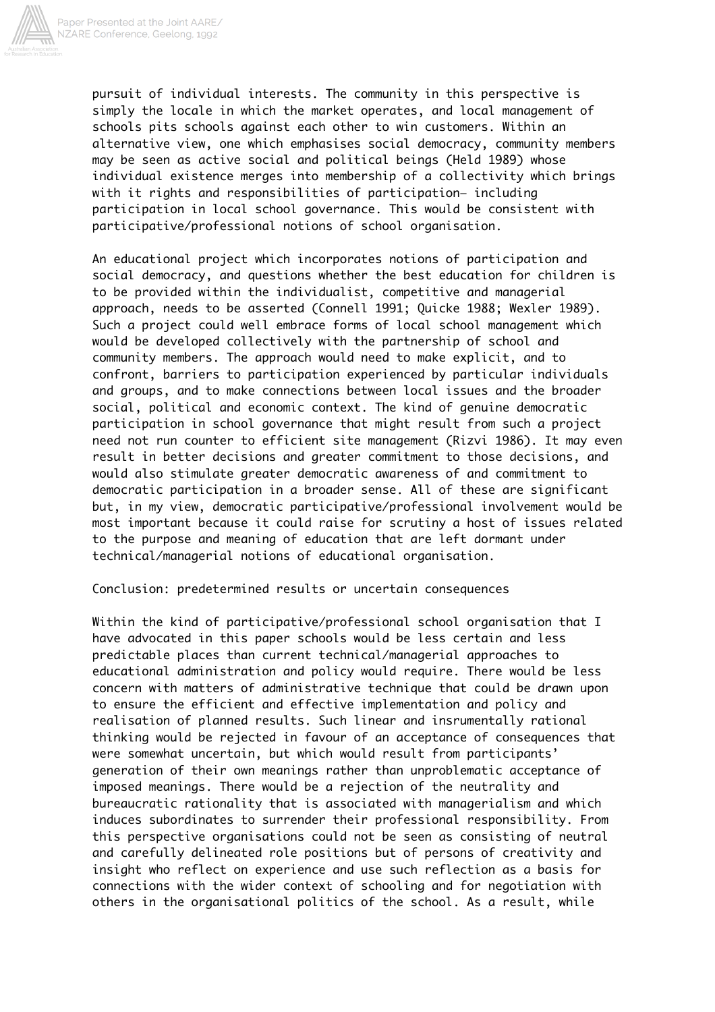

pursuit of individual interests. The community in this perspective is simply the locale in which the market operates, and local management of schools pits schools against each other to win customers. Within an alternative view, one which emphasises social democracy, community members may be seen as active social and political beings (Held 1989) whose individual existence merges into membership of a collectivity which brings with it rights and responsibilities of participation- including participation in local school governance. This would be consistent with participative/professional notions of school organisation.

An educational project which incorporates notions of participation and social democracy, and questions whether the best education for children is to be provided within the individualist, competitive and managerial approach, needs to be asserted (Connell 1991; Quicke 1988; Wexler 1989). Such a project could well embrace forms of local school management which would be developed collectively with the partnership of school and community members. The approach would need to make explicit, and to confront, barriers to participation experienced by particular individuals and groups, and to make connections between local issues and the broader social, political and economic context. The kind of genuine democratic participation in school governance that might result from such a project need not run counter to efficient site management (Rizvi 1986). It may even result in better decisions and greater commitment to those decisions, and would also stimulate greater democratic awareness of and commitment to democratic participation in a broader sense. All of these are significant but, in my view, democratic participative/professional involvement would be most important because it could raise for scrutiny a host of issues related to the purpose and meaning of education that are left dormant under technical/managerial notions of educational organisation.

## Conclusion: predetermined results or uncertain consequences

Within the kind of participative/professional school organisation that I have advocated in this paper schools would be less certain and less predictable places than current technical/managerial approaches to educational administration and policy would require. There would be less concern with matters of administrative technique that could be drawn upon to ensure the efficient and effective implementation and policy and realisation of planned results. Such linear and insrumentally rational thinking would be rejected in favour of an acceptance of consequences that were somewhat uncertain, but which would result from participants' generation of their own meanings rather than unproblematic acceptance of imposed meanings. There would be a rejection of the neutrality and bureaucratic rationality that is associated with managerialism and which induces subordinates to surrender their professional responsibility. From this perspective organisations could not be seen as consisting of neutral and carefully delineated role positions but of persons of creativity and insight who reflect on experience and use such reflection as a basis for connections with the wider context of schooling and for negotiation with others in the organisational politics of the school. As a result, while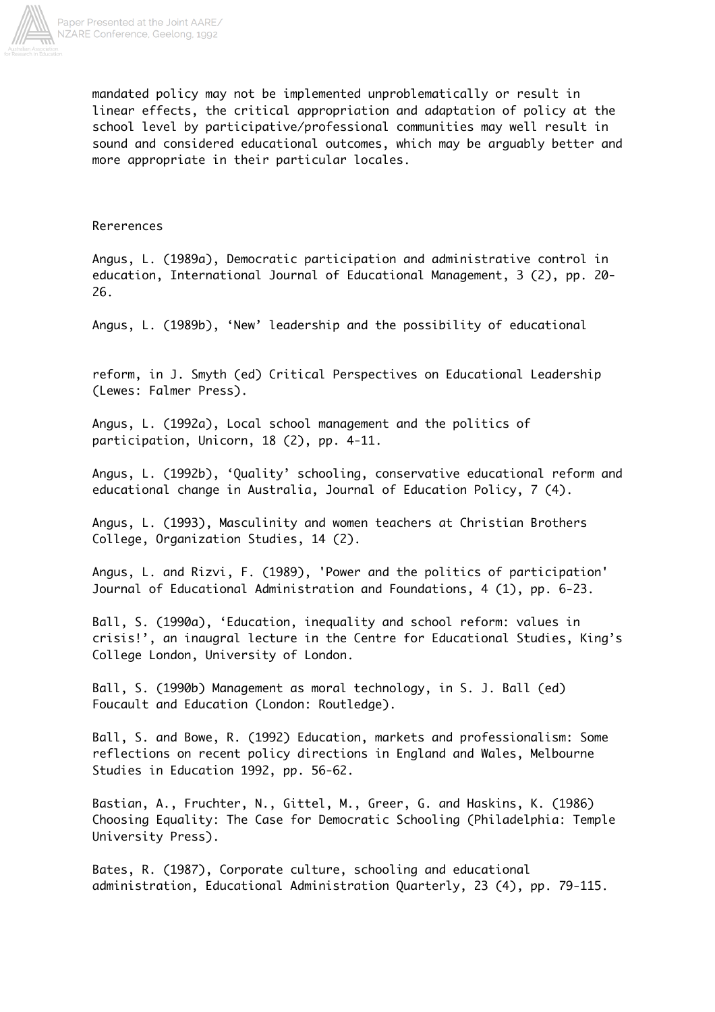

mandated policy may not be implemented unproblematically or result in linear effects, the critical appropriation and adaptation of policy at the school level by participative/professional communities may well result in sound and considered educational outcomes, which may be arguably better and more appropriate in their particular locales.

## Rererences

Angus, L. (1989a), Democratic participation and administrative control in education, International Journal of Educational Management, 3 (2), pp. 20- 26.

Angus, L. (1989b), 'New' leadership and the possibility of educational

reform, in J. Smyth (ed) Critical Perspectives on Educational Leadership (Lewes: Falmer Press).

Angus, L. (1992a), Local school management and the politics of participation, Unicorn, 18 (2), pp. 4-11.

Angus, L. (1992b), 'Quality' schooling, conservative educational reform and educational change in Australia, Journal of Education Policy, 7 (4).

Angus, L. (1993), Masculinity and women teachers at Christian Brothers College, Organization Studies, 14 (2).

Angus, L. and Rizvi, F. (1989), 'Power and the politics of participation' Journal of Educational Administration and Foundations, 4 (1), pp. 6-23.

Ball, S. (1990a), 'Education, inequality and school reform: values in crisis!', an inaugral lecture in the Centre for Educational Studies, King's College London, University of London.

Ball, S. (1990b) Management as moral technology, in S. J. Ball (ed) Foucault and Education (London: Routledge).

Ball, S. and Bowe, R. (1992) Education, markets and professionalism: Some reflections on recent policy directions in England and Wales, Melbourne Studies in Education 1992, pp. 56-62.

Bastian, A., Fruchter, N., Gittel, M., Greer, G. and Haskins, K. (1986) Choosing Equality: The Case for Democratic Schooling (Philadelphia: Temple University Press).

Bates, R. (1987), Corporate culture, schooling and educational administration, Educational Administration Quarterly, 23 (4), pp. 79-115.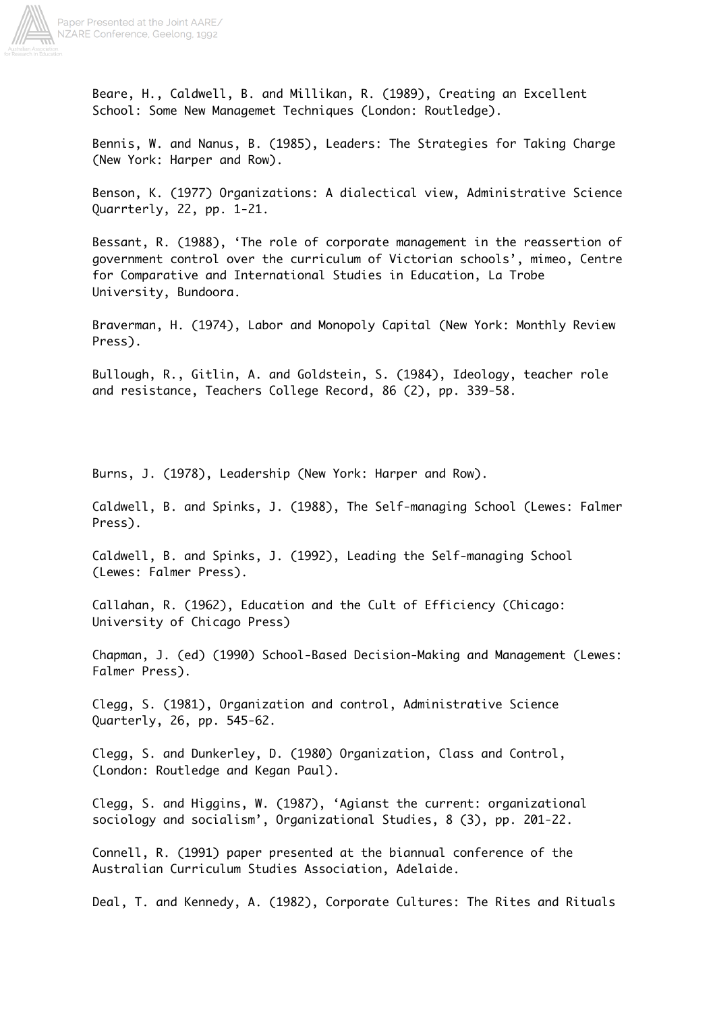

Paper Presented at the Joint AARE/ NZARE Conference, Geelong, 1992

> Beare, H., Caldwell, B. and Millikan, R. (1989), Creating an Excellent School: Some New Managemet Techniques (London: Routledge).

Bennis, W. and Nanus, B. (1985), Leaders: The Strategies for Taking Charge (New York: Harper and Row).

Benson, K. (1977) Organizations: A dialectical view, Administrative Science Quarrterly, 22, pp. 1-21.

Bessant, R. (1988), 'The role of corporate management in the reassertion of government control over the curriculum of Victorian schools', mimeo, Centre for Comparative and International Studies in Education, La Trobe University, Bundoora.

Braverman, H. (1974), Labor and Monopoly Capital (New York: Monthly Review Press).

Bullough, R., Gitlin, A. and Goldstein, S. (1984), Ideology, teacher role and resistance, Teachers College Record, 86 (2), pp. 339-58.

Burns, J. (1978), Leadership (New York: Harper and Row).

Caldwell, B. and Spinks, J. (1988), The Self-managing School (Lewes: Falmer Press).

Caldwell, B. and Spinks, J. (1992), Leading the Self-managing School (Lewes: Falmer Press).

Callahan, R. (1962), Education and the Cult of Efficiency (Chicago: University of Chicago Press)

Chapman, J. (ed) (1990) School-Based Decision-Making and Management (Lewes: Falmer Press).

Clegg, S. (1981), Organization and control, Administrative Science Quarterly, 26, pp. 545-62.

Clegg, S. and Dunkerley, D. (1980) Organization, Class and Control, (London: Routledge and Kegan Paul).

Clegg, S. and Higgins, W. (1987), 'Agianst the current: organizational sociology and socialism', Organizational Studies, 8 (3), pp. 201-22.

Connell, R. (1991) paper presented at the biannual conference of the Australian Curriculum Studies Association, Adelaide.

Deal, T. and Kennedy, A. (1982), Corporate Cultures: The Rites and Rituals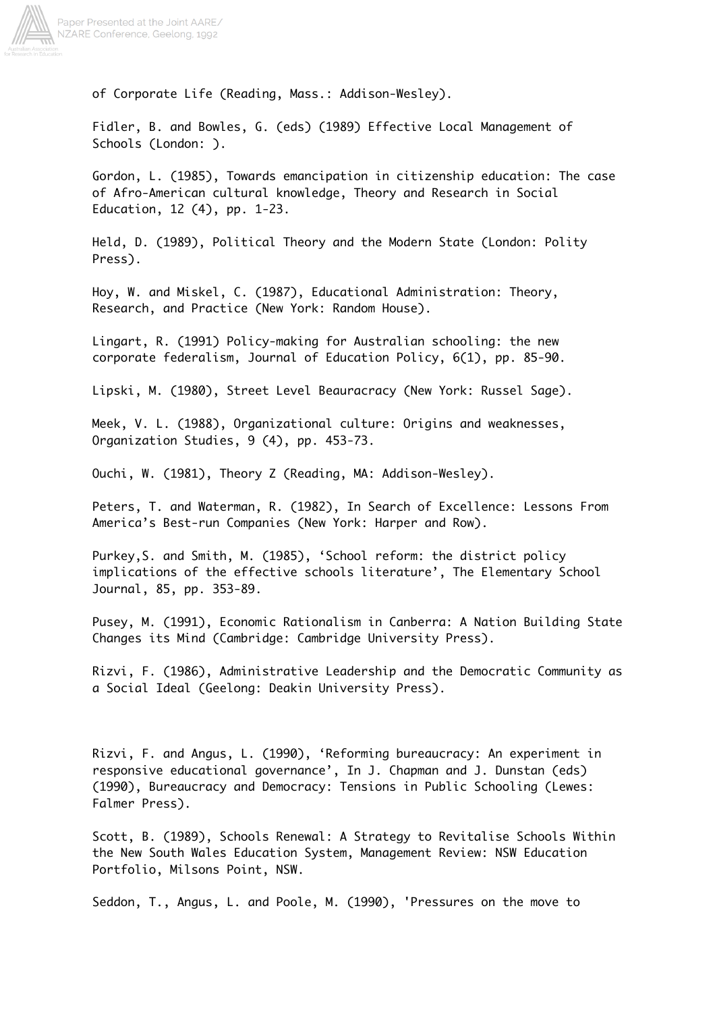

of Corporate Life (Reading, Mass.: Addison-Wesley).

Fidler, B. and Bowles, G. (eds) (1989) Effective Local Management of Schools (London: ).

Gordon, L. (1985), Towards emancipation in citizenship education: The case of Afro-American cultural knowledge, Theory and Research in Social Education, 12 (4), pp. 1-23.

Held, D. (1989), Political Theory and the Modern State (London: Polity Press).

Hoy, W. and Miskel, C. (1987), Educational Administration: Theory, Research, and Practice (New York: Random House).

Lingart, R. (1991) Policy-making for Australian schooling: the new corporate federalism, Journal of Education Policy, 6(1), pp. 85-90.

Lipski, M. (1980), Street Level Beauracracy (New York: Russel Sage).

Meek, V. L. (1988), Organizational culture: Origins and weaknesses, Organization Studies, 9 (4), pp. 453-73.

Ouchi, W. (1981), Theory Z (Reading, MA: Addison-Wesley).

Peters, T. and Waterman, R. (1982), In Search of Excellence: Lessons From America's Best-run Companies (New York: Harper and Row).

Purkey,S. and Smith, M. (1985), 'School reform: the district policy implications of the effective schools literature', The Elementary School Journal, 85, pp. 353-89.

Pusey, M. (1991), Economic Rationalism in Canberra: A Nation Building State Changes its Mind (Cambridge: Cambridge University Press).

Rizvi, F. (1986), Administrative Leadership and the Democratic Community as a Social Ideal (Geelong: Deakin University Press).

Rizvi, F. and Angus, L. (1990), 'Reforming bureaucracy: An experiment in responsive educational governance', In J. Chapman and J. Dunstan (eds) (1990), Bureaucracy and Democracy: Tensions in Public Schooling (Lewes: Falmer Press).

Scott, B. (1989), Schools Renewal: A Strategy to Revitalise Schools Within the New South Wales Education System, Management Review: NSW Education Portfolio, Milsons Point, NSW.

Seddon, T., Angus, L. and Poole, M. (1990), 'Pressures on the move to